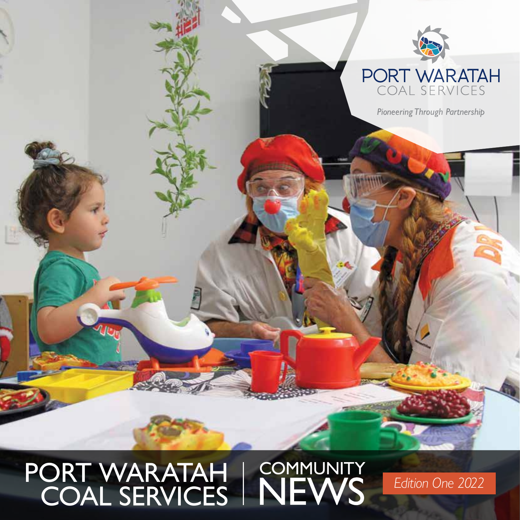

**Pioneering Through Partnership** 

# PORT WARATAH | COMMUNITY<br>
COAL SERVICES | NEWS Edition One 2022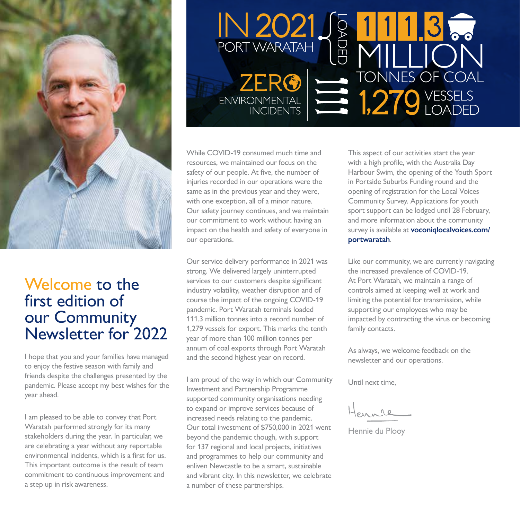

### Welcome to the first edition of our Community Newsletter for 2022

I hope that you and your families have managed to enjoy the festive season with family and friends despite the challenges presented by the pandemic. Please accept my best wishes for the year ahead.

I am pleased to be able to convey that Port Waratah performed strongly for its many stakeholders during the year. In particular, we are celebrating a year without any reportable environmental incidents, which is a first for us. This important outcome is the result of team commitment to continuous improvement and a step up in risk awareness.



While COVID-19 consumed much time and resources, we maintained our focus on the safety of our people. At five, the number of injuries recorded in our operations were the same as in the previous year and they were, with one exception, all of a minor nature. Our safety journey continues, and we maintain our commitment to work without having an impact on the health and safety of everyone in our operations.

Our service delivery performance in 2021 was strong. We delivered largely uninterrupted services to our customers despite significant industry volatility, weather disruption and of course the impact of the ongoing COVID-19 pandemic. Port Waratah terminals loaded 111.3 million tonnes into a record number of 1,279 vessels for export. This marks the tenth year of more than 100 million tonnes per annum of coal exports through Port Waratah and the second highest year on record.

I am proud of the way in which our Community Investment and Partnership Programme supported community organisations needing to expand or improve services because of increased needs relating to the pandemic. Our total investment of \$750,000 in 2021 went beyond the pandemic though, with support for 137 regional and local projects, initiatives and programmes to help our community and enliven Newcastle to be a smart, sustainable and vibrant city. In this newsletter, we celebrate a number of these partnerships.

This aspect of our activities start the year with a high profile, with the Australia Day Harbour Swim, the opening of the Youth Sport in Portside Suburbs Funding round and the opening of registration for the Local Voices Community Survey. Applications for youth sport support can be lodged until 28 February, and more information about the community survey is available at **voconiqlocalvoices.com/ portwaratah**.

Like our community, we are currently navigating the increased prevalence of COVID-19. At Port Waratah, we maintain a range of controls aimed at keeping well at work and limiting the potential for transmission, while supporting our employees who may be impacted by contracting the virus or becoming family contacts.

As always, we welcome feedback on the newsletter and our operations.

Until next time,

Hennie du Plooy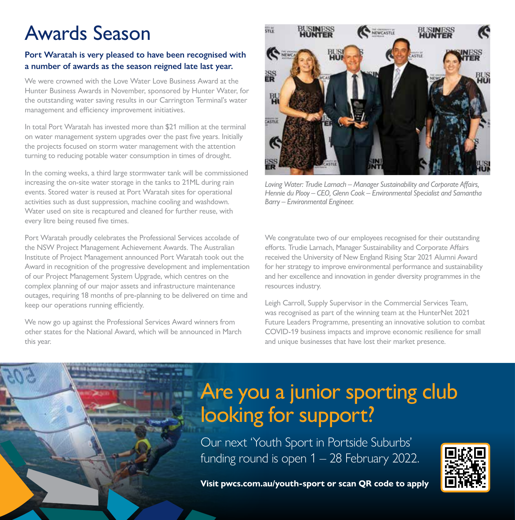### Awards Season

#### **Port Waratah is very pleased to have been recognised with a number of awards as the season reigned late last year.**

We were crowned with the Love Water Love Business Award at the Hunter Business Awards in November, sponsored by Hunter Water, for the outstanding water saving results in our Carrington Terminal's water management and efficiency improvement initiatives.

In total Port Waratah has invested more than \$21 million at the terminal on water management system upgrades over the past five years. Initially the projects focused on storm water management with the attention turning to reducing potable water consumption in times of drought.

In the coming weeks, a third large stormwater tank will be commissioned increasing the on-site water storage in the tanks to 21ML during rain events. Stored water is reused at Port Waratah sites for operational activities such as dust suppression, machine cooling and washdown. Water used on site is recaptured and cleaned for further reuse, with every litre being reused five times.

Port Waratah proudly celebrates the Professional Services accolade of the NSW Project Management Achievement Awards. The Australian Institute of Project Management announced Port Waratah took out the Award in recognition of the progressive development and implementation of our Project Management System Upgrade, which centres on the complex planning of our major assets and infrastructure maintenance outages, requiring 18 months of pre-planning to be delivered on time and keep our operations running efficiently.

We now go up against the Professional Services Award winners from other states for the National Award, which will be announced in March this year.



*Loving Water: Trudie Larnach – Manager Sustainability and Corporate Affairs, Hennie du Plooy – CEO, Glenn Cook – Environmental Specialist and Samantha Barry – Environmental Engineer.*

We congratulate two of our employees recognised for their outstanding efforts. Trudie Larnach, Manager Sustainability and Corporate Affairs received the University of New England Rising Star 2021 Alumni Award for her strategy to improve environmental performance and sustainability and her excellence and innovation in gender diversity programmes in the resources industry.

Leigh Carroll, Supply Supervisor in the Commercial Services Team, was recognised as part of the winning team at the HunterNet 2021 Future Leaders Programme, presenting an innovative solution to combat COVID-19 business impacts and improve economic resilience for small and unique businesses that have lost their market presence.

### Are you a junior sporting club looking for support?

Our next 'Youth Sport in Portside Suburbs' funding round is open 1 – 28 February 2022.



**Visit pwcs.com.au/youth-sport or scan QR code to apply**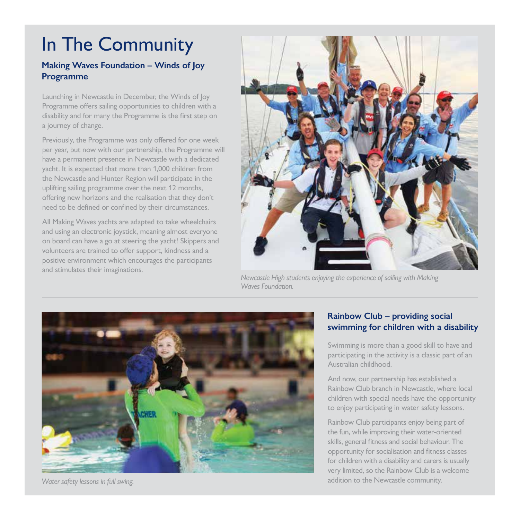### In The Community

#### **Making Waves Foundation – Winds of Joy Programme**

Launching in Newcastle in December, the Winds of Joy Programme offers sailing opportunities to children with a disability and for many the Programme is the first step on a journey of change.

Previously, the Programme was only offered for one week per year, but now with our partnership, the Programme will have a permanent presence in Newcastle with a dedicated yacht. It is expected that more than 1,000 children from the Newcastle and Hunter Region will participate in the uplifting sailing programme over the next 12 months, offering new horizons and the realisation that they don't need to be defined or confined by their circumstances.

All Making Waves yachts are adapted to take wheelchairs and using an electronic joystick, meaning almost everyone on board can have a go at steering the yacht! Skippers and volunteers are trained to offer support, kindness and a positive environment which encourages the participants and stimulates their imaginations.



*Newcastle High students enjoying the experience of sailing with Making Waves Foundation.*



*Water safety lessons in full swing.*

#### **Rainbow Club – providing social swimming for children with a disability**

Swimming is more than a good skill to have and participating in the activity is a classic part of an Australian childhood.

And now, our partnership has established a Rainbow Club branch in Newcastle, where local children with special needs have the opportunity to enjoy participating in water safety lessons.

Rainbow Club participants enjoy being part of the fun, while improving their water-oriented skills, general fitness and social behaviour. The opportunity for socialisation and fitness classes for children with a disability and carers is usually very limited, so the Rainbow Club is a welcome addition to the Newcastle community.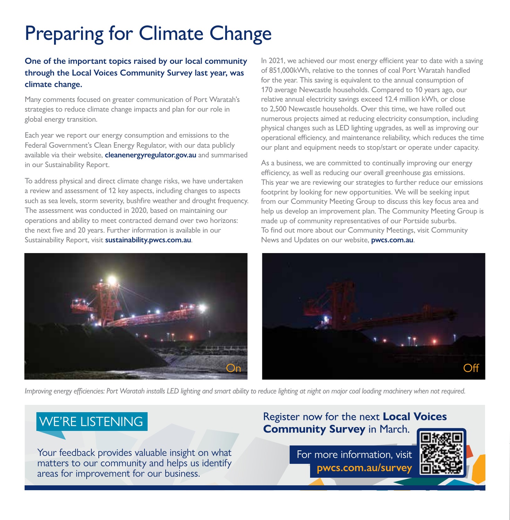### Preparing for Climate Change

#### **One of the important topics raised by our local community through the Local Voices Community Survey last year, was climate change.**

Many comments focused on greater communication of Port Waratah's strategies to reduce climate change impacts and plan for our role in global energy transition.

Each year we report our energy consumption and emissions to the Federal Government's Clean Energy Regulator, with our data publicly available via their website, **cleanenergyregulator.gov.au** and summarised in our Sustainability Report.

To address physical and direct climate change risks, we have undertaken a review and assessment of 12 key aspects, including changes to aspects such as sea levels, storm severity, bushfire weather and drought frequency. The assessment was conducted in 2020, based on maintaining our operations and ability to meet contracted demand over two horizons: the next five and 20 years. Further information is available in our Sustainability Report, visit **sustainability.pwcs.com.au**.

In 2021, we achieved our most energy efficient year to date with a saving of 851,000kWh, relative to the tonnes of coal Port Waratah handled for the year. This saving is equivalent to the annual consumption of 170 average Newcastle households. Compared to 10 years ago, our relative annual electricity savings exceed 12.4 million kWh, or close to 2,500 Newcastle households. Over this time, we have rolled out numerous projects aimed at reducing electricity consumption, including physical changes such as LED lighting upgrades, as well as improving our operational efficiency, and maintenance reliability, which reduces the time our plant and equipment needs to stop/start or operate under capacity.

As a business, we are committed to continually improving our energy efficiency, as well as reducing our overall greenhouse gas emissions. This year we are reviewing our strategies to further reduce our emissions footprint by looking for new opportunities. We will be seeking input from our Community Meeting Group to discuss this key focus area and help us develop an improvement plan. The Community Meeting Group is made up of community representatives of our Portside suburbs. To find out more about our Community Meetings, visit Community News and Updates on our website, **pwcs.com.au**.



*Improving energy efficiencies: Port Waratah installs LED lighting and smart ability to reduce lighting at night on major coal loading machinery when not required.*

Your feedback provides valuable insight on what matters to our community and helps us identify areas for improvement for our business.

### **EXAMPLE REVISTENING Register now for the next Local Voices**<br> **Community Survey** in March.

For more information, visit **pwcs.com.au/survey**

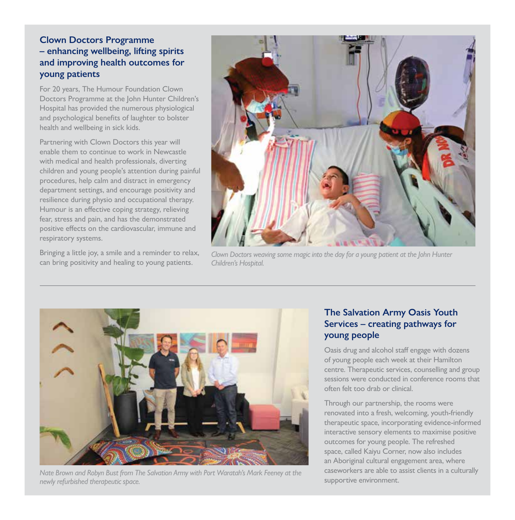#### **Clown Doctors Programme – enhancing wellbeing, lifting spirits and improving health outcomes for young patients**

For 20 years, The Humour Foundation Clown Doctors Programme at the John Hunter Children's Hospital has provided the numerous physiological and psychological benefits of laughter to bolster health and wellbeing in sick kids.

Partnering with Clown Doctors this year will enable them to continue to work in Newcastle with medical and health professionals, diverting children and young people's attention during painful procedures, help calm and distract in emergency department settings, and encourage positivity and resilience during physio and occupational therapy. Humour is an effective coping strategy, relieving fear, stress and pain, and has the demonstrated positive effects on the cardiovascular, immune and respiratory systems.

Bringing a little joy, a smile and a reminder to relax, can bring positivity and healing to young patients.



*Clown Doctors weaving some magic into the day for a young patient at the John Hunter Children's Hospital.*



*Nate Brown and Robyn Bust from The Salvation Army with Port Waratah's Mark Feeney at the newly refurbished therapeutic space.*

#### **The Salvation Army Oasis Youth Services – creating pathways for young people**

Oasis drug and alcohol staff engage with dozens of young people each week at their Hamilton centre. Therapeutic services, counselling and group sessions were conducted in conference rooms that often felt too drab or clinical.

Through our partnership, the rooms were renovated into a fresh, welcoming, youth-friendly therapeutic space, incorporating evidence-informed interactive sensory elements to maximise positive outcomes for young people. The refreshed space, called Kaiyu Corner, now also includes an Aboriginal cultural engagement area, where caseworkers are able to assist clients in a culturally supportive environment.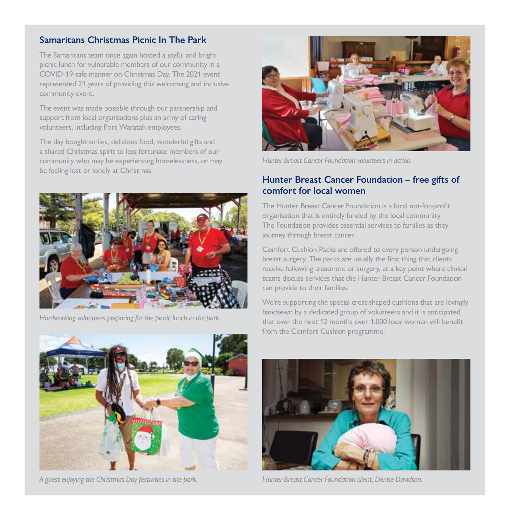#### **Samaritans Christmas Picnic In The Park**

The Samaritans team once again hosted a joyful and bright picnic lunch for vulnerable members of our community in a COVID-19-safe manner on Christmas Day. The 2021 event represented 21 years of providing this welcoming and inclusive community event.

The event was made possible through our partnership and support from local organisations plus an army of caring volunteers, including Port Waratah employees.

The day bought smiles, delicious food, wonderful gifts and a shared Christmas spirit to less fortunate members of our community who may be experiencing homelessness, or may be feeling lost or lonely at Christmas.



*Hardworking volunteers preparing for the picnic lunch in the park.*



*A guest enjoying the Christmas Day festivities in the park. Hunter Breast Cancer Foundation client, Denise Davidson.*



*Hunter Breast Cancer Foundation volunteers in action.*

#### **Hunter Breast Cancer Foundation – free gifts of comfort for local women**

The Hunter Breast Cancer Foundation is a local not-for-profit organisation that is entirely funded by the local community. The Foundation provides essential services to families as they journey through breast cancer.

Comfort Cushion Packs are offered to every person undergoing breast surgery. The packs are usually the first thing that clients receive following treatment or surgery, at a key point where clinical teams discuss services that the Hunter Breast Cancer Foundation can provide to their families.

We're supporting the special crest-shaped cushions that are lovingly handsewn by a dedicated group of volunteers and it is anticipated that over the next 12 months over 1,000 local women will benefit from the Comfort Cushion programme.